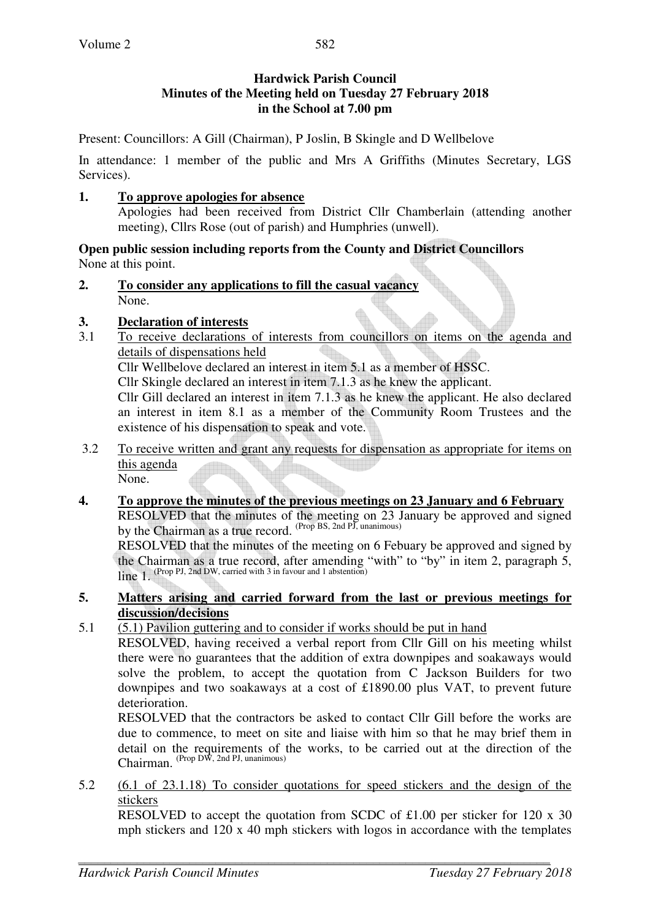### **Hardwick Parish Council Minutes of the Meeting held on Tuesday 27 February 2018 in the School at 7.00 pm**

Present: Councillors: A Gill (Chairman), P Joslin, B Skingle and D Wellbelove

In attendance: 1 member of the public and Mrs A Griffiths (Minutes Secretary, LGS Services).

### **1. To approve apologies for absence**

Apologies had been received from District Cllr Chamberlain (attending another meeting), Cllrs Rose (out of parish) and Humphries (unwell).

#### **Open public session including reports from the County and District Councillors**  None at this point.

**2. To consider any applications to fill the casual vacancy** None.

# **3. Declaration of interests**

3.1 To receive declarations of interests from councillors on items on the agenda and details of dispensations held

Cllr Wellbelove declared an interest in item 5.1 as a member of HSSC.

Cllr Skingle declared an interest in item 7.1.3 as he knew the applicant.

Cllr Gill declared an interest in item 7.1.3 as he knew the applicant. He also declared an interest in item 8.1 as a member of the Community Room Trustees and the existence of his dispensation to speak and vote.

3.2 To receive written and grant any requests for dispensation as appropriate for items on this agenda

None.

**4. To approve the minutes of the previous meetings on 23 January and 6 February**  RESOLVED that the minutes of the meeting on 23 January be approved and signed by the Chairman as a true record. (Prop BS, 2nd PJ, unanimous)

RESOLVED that the minutes of the meeting on 6 Febuary be approved and signed by the Chairman as a true record, after amending "with" to "by" in item 2, paragraph 5, line 1. (Prop PJ, 2nd DW, carried with 3 in favour and 1 abstention)

#### **5. Matters arising and carried forward from the last or previous meetings for discussion/decisions**

5.1 (5.1) Pavilion guttering and to consider if works should be put in hand

RESOLVED, having received a verbal report from Cllr Gill on his meeting whilst there were no guarantees that the addition of extra downpipes and soakaways would solve the problem, to accept the quotation from C Jackson Builders for two downpipes and two soakaways at a cost of £1890.00 plus VAT, to prevent future deterioration.

RESOLVED that the contractors be asked to contact Cllr Gill before the works are due to commence, to meet on site and liaise with him so that he may brief them in detail on the requirements of the works, to be carried out at the direction of the Chairman. (Prop DW, 2nd PJ, unanimous)

5.2 (6.1 of 23.1.18) To consider quotations for speed stickers and the design of the stickers

RESOLVED to accept the quotation from SCDC of £1.00 per sticker for 120 x 30 mph stickers and 120 x 40 mph stickers with logos in accordance with the templates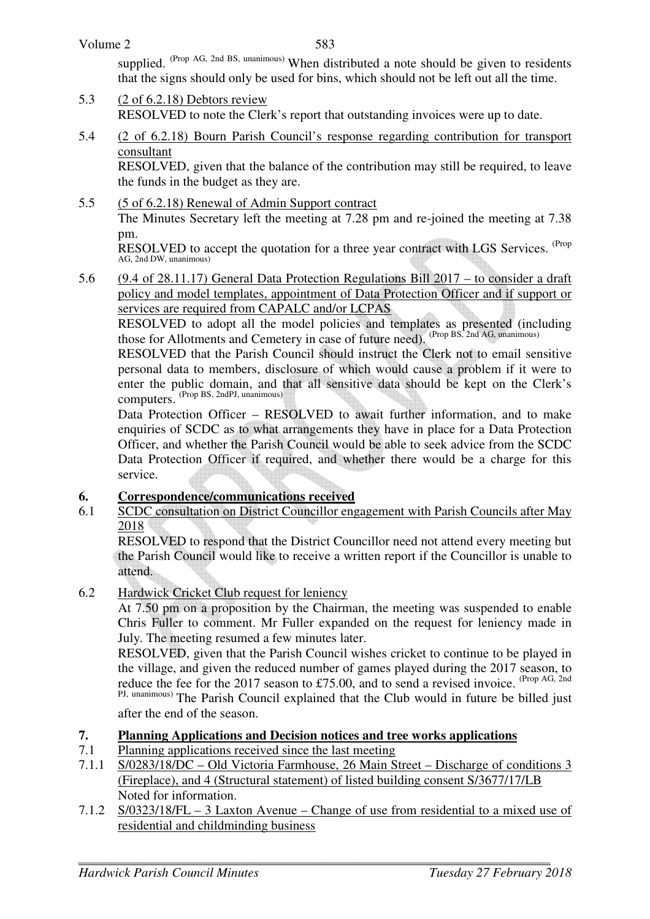583

supplied. (Prop AG, 2nd BS, unanimous) When distributed a note should be given to residents that the signs should only be used for bins, which should not be left out all the time.

- 5.3 (2 of 6.2.18) Debtors review RESOLVED to note the Clerk's report that outstanding invoices were up to date.
- 5.4 (2 of 6.2.18) Bourn Parish Council's response regarding contribution for transport consultant

 RESOLVED, given that the balance of the contribution may still be required, to leave the funds in the budget as they are.

5.5 (5 of 6.2.18) Renewal of Admin Support contract The Minutes Secretary left the meeting at 7.28 pm and re-joined the meeting at 7.38 pm.

RESOLVED to accept the quotation for a three year contract with LGS Services. <sup>(Prop</sup>) AG, 2nd DW, unanimous)

5.6 (9.4 of 28.11.17) General Data Protection Regulations Bill 2017 – to consider a draft policy and model templates, appointment of Data Protection Officer and if support or services are required from CAPALC and/or LCPAS

 RESOLVED to adopt all the model policies and templates as presented (including those for Allotments and Cemetery in case of future need). (Prop BS, 2nd AG, unanimous)

RESOLVED that the Parish Council should instruct the Clerk not to email sensitive personal data to members, disclosure of which would cause a problem if it were to enter the public domain, and that all sensitive data should be kept on the Clerk's computers. (Prop BS, 2ndPJ, unanimous)

Data Protection Officer – RESOLVED to await further information, and to make enquiries of SCDC as to what arrangements they have in place for a Data Protection Officer, and whether the Parish Council would be able to seek advice from the SCDC Data Protection Officer if required, and whether there would be a charge for this service.

# **6. Correspondence/communications received**

6.1 SCDC consultation on District Councillor engagement with Parish Councils after May 2018

RESOLVED to respond that the District Councillor need not attend every meeting but the Parish Council would like to receive a written report if the Councillor is unable to attend.

6.2 Hardwick Cricket Club request for leniency

At 7.50 pm on a proposition by the Chairman, the meeting was suspended to enable Chris Fuller to comment. Mr Fuller expanded on the request for leniency made in July. The meeting resumed a few minutes later.

RESOLVED, given that the Parish Council wishes cricket to continue to be played in the village, and given the reduced number of games played during the 2017 season, to reduce the fee for the 2017 season to £75.00, and to send a revised invoice. (Prop AG, 2nd) PJ, unanimous) The Parish Council explained that the Club would in future be billed just after the end of the season.

# **7. Planning Applications and Decision notices and tree works applications**

- 7.1 Planning applications received since the last meeting
- 7.1.1 S/0283/18/DC Old Victoria Farmhouse, 26 Main Street Discharge of conditions 3 (Fireplace), and 4 (Structural statement) of listed building consent S/3677/17/LB Noted for information.
- 7.1.2 S/0323/18/FL 3 Laxton Avenue Change of use from residential to a mixed use of residential and childminding business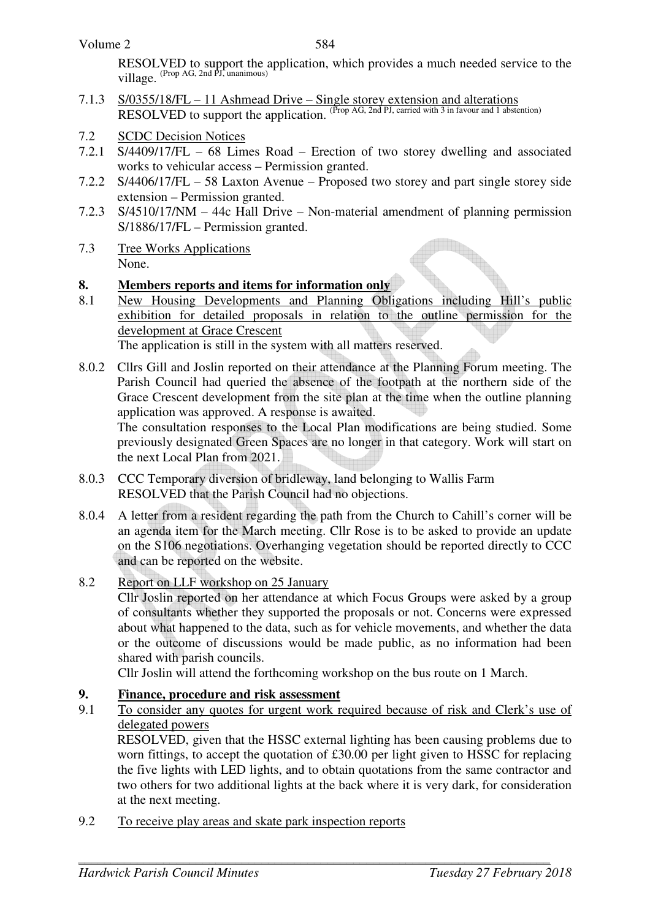RESOLVED to support the application, which provides a much needed service to the village. (Prop AG, 2nd PJ, unanimous)

- 7.1.3 S/0355/18/FL 11 Ashmead Drive Single storey extension and alterations RESOLVED to support the application. (Prop AG, 2nd PJ, carried with 3 in favour and 1 abstention)
- 7.2 SCDC Decision Notices
- 7.2.1 S/4409/17/FL 68 Limes Road Erection of two storey dwelling and associated works to vehicular access – Permission granted.
- 7.2.2 S/4406/17/FL 58 Laxton Avenue Proposed two storey and part single storey side extension – Permission granted.
- 7.2.3 S/4510/17/NM 44c Hall Drive Non-material amendment of planning permission S/1886/17/FL – Permission granted.
- 7.3 Tree Works Applications None.

### **8. Members reports and items for information only**

8.1 New Housing Developments and Planning Obligations including Hill's public exhibition for detailed proposals in relation to the outline permission for the development at Grace Crescent The application is still in the system with all matters reserved.

8.0.2 Cllrs Gill and Joslin reported on their attendance at the Planning Forum meeting. The Parish Council had queried the absence of the footpath at the northern side of the Grace Crescent development from the site plan at the time when the outline planning application was approved. A response is awaited. The consultation responses to the Local Plan modifications are being studied. Some

previously designated Green Spaces are no longer in that category. Work will start on the next Local Plan from 2021.

- 8.0.3 CCC Temporary diversion of bridleway, land belonging to Wallis Farm RESOLVED that the Parish Council had no objections.
- 8.0.4 A letter from a resident regarding the path from the Church to Cahill's corner will be an agenda item for the March meeting. Cllr Rose is to be asked to provide an update on the S106 negotiations. Overhanging vegetation should be reported directly to CCC and can be reported on the website.
- 8.2 Report on LLF workshop on 25 January

 Cllr Joslin reported on her attendance at which Focus Groups were asked by a group of consultants whether they supported the proposals or not. Concerns were expressed about what happened to the data, such as for vehicle movements, and whether the data or the outcome of discussions would be made public, as no information had been shared with parish councils.

Cllr Joslin will attend the forthcoming workshop on the bus route on 1 March.

# **9. Finance, procedure and risk assessment**

9.1 To consider any quotes for urgent work required because of risk and Clerk's use of delegated powers

 RESOLVED, given that the HSSC external lighting has been causing problems due to worn fittings, to accept the quotation of £30.00 per light given to HSSC for replacing the five lights with LED lights, and to obtain quotations from the same contractor and two others for two additional lights at the back where it is very dark, for consideration at the next meeting.

9.2 To receive play areas and skate park inspection reports